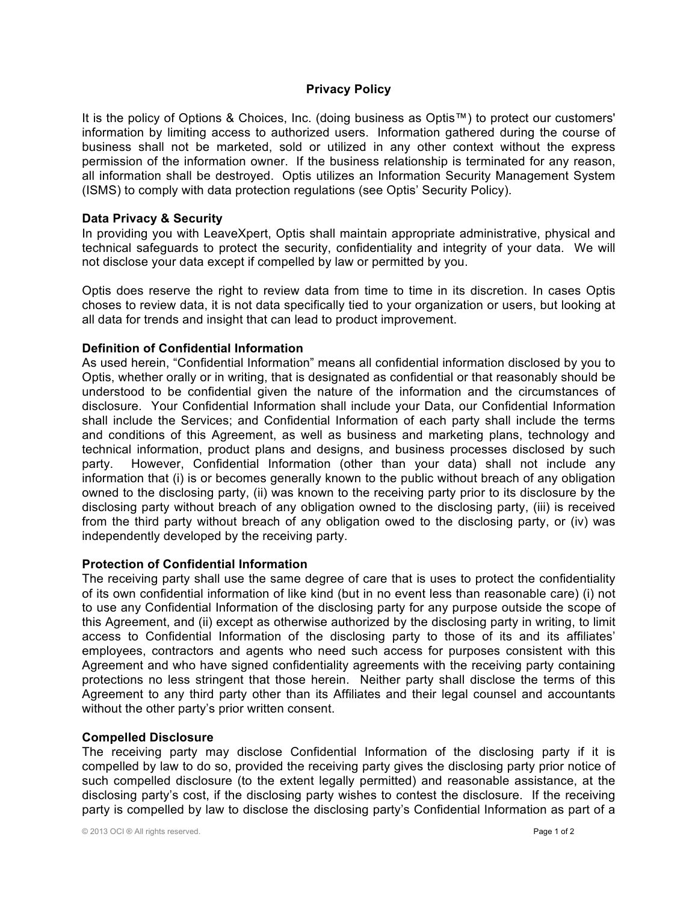# **Privacy Policy**

It is the policy of Options & Choices, Inc. (doing business as Optis™) to protect our customers' information by limiting access to authorized users. Information gathered during the course of business shall not be marketed, sold or utilized in any other context without the express permission of the information owner. If the business relationship is terminated for any reason, all information shall be destroyed. Optis utilizes an Information Security Management System (ISMS) to comply with data protection regulations (see Optis' Security Policy).

## **Data Privacy & Security**

In providing you with LeaveXpert, Optis shall maintain appropriate administrative, physical and technical safeguards to protect the security, confidentiality and integrity of your data. We will not disclose your data except if compelled by law or permitted by you.

Optis does reserve the right to review data from time to time in its discretion. In cases Optis choses to review data, it is not data specifically tied to your organization or users, but looking at all data for trends and insight that can lead to product improvement.

# **Definition of Confidential Information**

As used herein, "Confidential Information" means all confidential information disclosed by you to Optis, whether orally or in writing, that is designated as confidential or that reasonably should be understood to be confidential given the nature of the information and the circumstances of disclosure. Your Confidential Information shall include your Data, our Confidential Information shall include the Services; and Confidential Information of each party shall include the terms and conditions of this Agreement, as well as business and marketing plans, technology and technical information, product plans and designs, and business processes disclosed by such party. However, Confidential Information (other than your data) shall not include any information that (i) is or becomes generally known to the public without breach of any obligation owned to the disclosing party, (ii) was known to the receiving party prior to its disclosure by the disclosing party without breach of any obligation owned to the disclosing party, (iii) is received from the third party without breach of any obligation owed to the disclosing party, or (iv) was independently developed by the receiving party.

## **Protection of Confidential Information**

The receiving party shall use the same degree of care that is uses to protect the confidentiality of its own confidential information of like kind (but in no event less than reasonable care) (i) not to use any Confidential Information of the disclosing party for any purpose outside the scope of this Agreement, and (ii) except as otherwise authorized by the disclosing party in writing, to limit access to Confidential Information of the disclosing party to those of its and its affiliates' employees, contractors and agents who need such access for purposes consistent with this Agreement and who have signed confidentiality agreements with the receiving party containing protections no less stringent that those herein. Neither party shall disclose the terms of this Agreement to any third party other than its Affiliates and their legal counsel and accountants without the other party's prior written consent.

## **Compelled Disclosure**

The receiving party may disclose Confidential Information of the disclosing party if it is compelled by law to do so, provided the receiving party gives the disclosing party prior notice of such compelled disclosure (to the extent legally permitted) and reasonable assistance, at the disclosing party's cost, if the disclosing party wishes to contest the disclosure. If the receiving party is compelled by law to disclose the disclosing party's Confidential Information as part of a